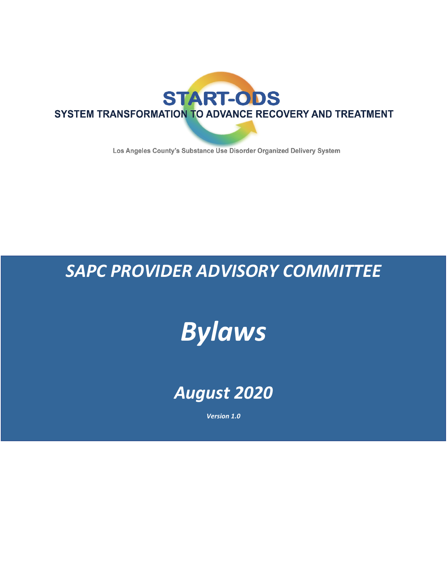

Los Angeles County's Substance Use Disorder Organized Delivery System

# *SAPC PROVIDER ADVISORY COMMITTEE*

# *Bylaws*

# *August 2020*

*Version 1.0*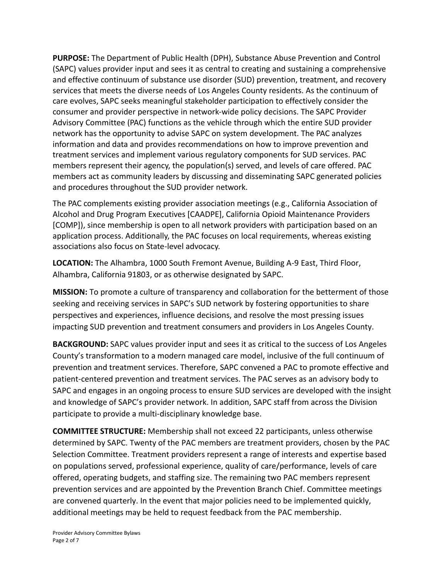**PURPOSE:** The Department of Public Health (DPH), Substance Abuse Prevention and Control (SAPC) values provider input and sees it as central to creating and sustaining a comprehensive and effective continuum of substance use disorder (SUD) prevention, treatment, and recovery services that meets the diverse needs of Los Angeles County residents. As the continuum of care evolves, SAPC seeks meaningful stakeholder participation to effectively consider the consumer and provider perspective in network-wide policy decisions. The SAPC Provider Advisory Committee (PAC) functions as the vehicle through which the entire SUD provider network has the opportunity to advise SAPC on system development. The PAC analyzes information and data and provides recommendations on how to improve prevention and treatment services and implement various regulatory components for SUD services. PAC members represent their agency, the population(s) served, and levels of care offered. PAC members act as community leaders by discussing and disseminating SAPC generated policies and procedures throughout the SUD provider network.

The PAC complements existing provider association meetings (e.g., California Association of Alcohol and Drug Program Executives [CAADPE], California Opioid Maintenance Providers [COMP]), since membership is open to all network providers with participation based on an application process. Additionally, the PAC focuses on local requirements, whereas existing associations also focus on State-level advocacy.

**LOCATION:** The Alhambra, 1000 South Fremont Avenue, Building A-9 East, Third Floor, Alhambra, California 91803, or as otherwise designated by SAPC.

**MISSION:** To promote a culture of transparency and collaboration for the betterment of those seeking and receiving services in SAPC's SUD network by fostering opportunities to share perspectives and experiences, influence decisions, and resolve the most pressing issues impacting SUD prevention and treatment consumers and providers in Los Angeles County.

**BACKGROUND:** SAPC values provider input and sees it as critical to the success of Los Angeles County's transformation to a modern managed care model, inclusive of the full continuum of prevention and treatment services. Therefore, SAPC convened a PAC to promote effective and patient-centered prevention and treatment services. The PAC serves as an advisory body to SAPC and engages in an ongoing process to ensure SUD services are developed with the insight and knowledge of SAPC's provider network. In addition, SAPC staff from across the Division participate to provide a multi-disciplinary knowledge base.

**COMMITTEE STRUCTURE:** Membership shall not exceed 22 participants, unless otherwise determined by SAPC. Twenty of the PAC members are treatment providers, chosen by the PAC Selection Committee. Treatment providers represent a range of interests and expertise based on populations served, professional experience, quality of care/performance, levels of care offered, operating budgets, and staffing size. The remaining two PAC members represent prevention services and are appointed by the Prevention Branch Chief. Committee meetings are convened quarterly. In the event that major policies need to be implemented quickly, additional meetings may be held to request feedback from the PAC membership.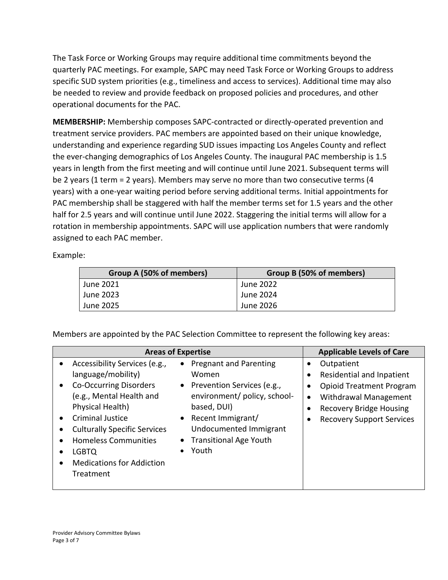The Task Force or Working Groups may require additional time commitments beyond the quarterly PAC meetings. For example, SAPC may need Task Force or Working Groups to address specific SUD system priorities (e.g., timeliness and access to services). Additional time may also be needed to review and provide feedback on proposed policies and procedures, and other operational documents for the PAC.

**MEMBERSHIP:** Membership composes SAPC-contracted or directly-operated prevention and treatment service providers. PAC members are appointed based on their unique knowledge, understanding and experience regarding SUD issues impacting Los Angeles County and reflect the ever-changing demographics of Los Angeles County. The inaugural PAC membership is 1.5 years in length from the first meeting and will continue until June 2021. Subsequent terms will be 2 years (1 term = 2 years). Members may serve no more than two consecutive terms (4 years) with a one-year waiting period before serving additional terms. Initial appointments for PAC membership shall be staggered with half the member terms set for 1.5 years and the other half for 2.5 years and will continue until June 2022. Staggering the initial terms will allow for a rotation in membership appointments. SAPC will use application numbers that were randomly assigned to each PAC member.

#### Example:

| Group A (50% of members) | Group B (50% of members) |
|--------------------------|--------------------------|
| June 2021                | June 2022                |
| June 2023                | June 2024                |
| June 2025                | June 2026                |

Members are appointed by the PAC Selection Committee to represent the following key areas:

|                                                                                                                                                                                                                                                                                                 | <b>Areas of Expertise</b>                                                                                                                                                                                   | <b>Applicable Levels of Care</b>                                                                                                                                                       |
|-------------------------------------------------------------------------------------------------------------------------------------------------------------------------------------------------------------------------------------------------------------------------------------------------|-------------------------------------------------------------------------------------------------------------------------------------------------------------------------------------------------------------|----------------------------------------------------------------------------------------------------------------------------------------------------------------------------------------|
| Accessibility Services (e.g.,<br>language/mobility)<br><b>Co-Occurring Disorders</b><br>(e.g., Mental Health and<br>Physical Health)<br><b>Criminal Justice</b><br><b>Culturally Specific Services</b><br><b>Homeless Communities</b><br>LGBTQ<br><b>Medications for Addiction</b><br>Treatment | • Pregnant and Parenting<br>Women<br>• Prevention Services (e.g.,<br>environment/ policy, school-<br>based, DUI)<br>• Recent Immigrant/<br>Undocumented Immigrant<br><b>Transitional Age Youth</b><br>Youth | Outpatient<br>Residential and Inpatient<br><b>Opioid Treatment Program</b><br>Withdrawal Management<br>$\bullet$<br><b>Recovery Bridge Housing</b><br><b>Recovery Support Services</b> |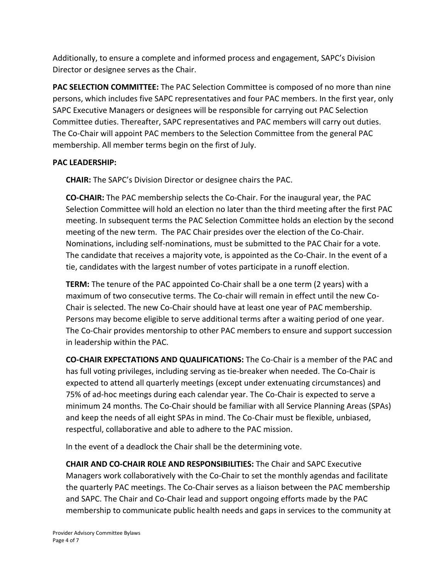Additionally, to ensure a complete and informed process and engagement, SAPC's Division Director or designee serves as the Chair.

**PAC SELECTION COMMITTEE:** The PAC Selection Committee is composed of no more than nine persons, which includes five SAPC representatives and four PAC members. In the first year, only SAPC Executive Managers or designees will be responsible for carrying out PAC Selection Committee duties. Thereafter, SAPC representatives and PAC members will carry out duties. The Co-Chair will appoint PAC members to the Selection Committee from the general PAC membership. All member terms begin on the first of July.

## **PAC LEADERSHIP:**

**CHAIR:** The SAPC's Division Director or designee chairs the PAC.

**CO-CHAIR:** The PAC membership selects the Co-Chair. For the inaugural year, the PAC Selection Committee will hold an election no later than the third meeting after the first PAC meeting. In subsequent terms the PAC Selection Committee holds an election by the second meeting of the new term. The PAC Chair presides over the election of the Co-Chair. Nominations, including self-nominations, must be submitted to the PAC Chair for a vote. The candidate that receives a majority vote, is appointed as the Co-Chair. In the event of a tie, candidates with the largest number of votes participate in a runoff election.

**TERM:** The tenure of the PAC appointed Co-Chair shall be a one term (2 years) with a maximum of two consecutive terms. The Co-chair will remain in effect until the new Co-Chair is selected. The new Co-Chair should have at least one year of PAC membership. Persons may become eligible to serve additional terms after a waiting period of one year. The Co-Chair provides mentorship to other PAC members to ensure and support succession in leadership within the PAC.

**CO-CHAIR EXPECTATIONS AND QUALIFICATIONS:** The Co-Chair is a member of the PAC and has full voting privileges, including serving as tie-breaker when needed. The Co-Chair is expected to attend all quarterly meetings (except under extenuating circumstances) and 75% of ad-hoc meetings during each calendar year. The Co-Chair is expected to serve a minimum 24 months. The Co-Chair should be familiar with all Service Planning Areas (SPAs) and keep the needs of all eight SPAs in mind. The Co-Chair must be flexible, unbiased, respectful, collaborative and able to adhere to the PAC mission.

In the event of a deadlock the Chair shall be the determining vote.

**CHAIR AND CO-CHAIR ROLE AND RESPONSIBILITIES:** The Chair and SAPC Executive Managers work collaboratively with the Co-Chair to set the monthly agendas and facilitate the quarterly PAC meetings. The Co-Chair serves as a liaison between the PAC membership and SAPC. The Chair and Co-Chair lead and support ongoing efforts made by the PAC membership to communicate public health needs and gaps in services to the community at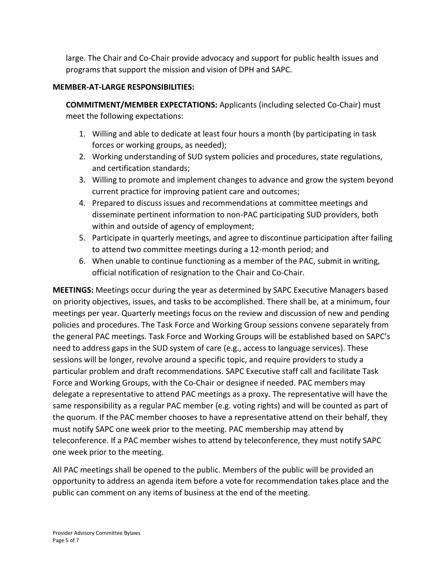large. The Chair and Co-Chair provide advocacy and support for public health issues and programs that support the mission and vision of DPH and SAPC.

## **MEMBER-AT-LARGE RESPONSIBILITIES:**

**COMMITMENT/MEMBER EXPECTATIONS:** Applicants (including selected Co-Chair) must meet the following expectations:

- 1. Willing and able to dedicate at least four hours a month (by participating in task forces or working groups, as needed);
- 2. Working understanding of SUD system policies and procedures, state regulations, and certification standards;
- 3. Willing to promote and implement changes to advance and grow the system beyond current practice for improving patient care and outcomes;
- 4. Prepared to discuss issues and recommendations at committee meetings and disseminate pertinent information to non-PAC participating SUD providers, both within and outside of agency of employment;
- 5. Participate in quarterly meetings, and agree to discontinue participation after failing to attend two committee meetings during a 12-month period; and
- 6. When unable to continue functioning as a member of the PAC, submit in writing, official notification of resignation to the Chair and Co-Chair.

**MEETINGS:** Meetings occur during the year as determined by SAPC Executive Managers based on priority objectives, issues, and tasks to be accomplished. There shall be, at a minimum, four meetings per year. Quarterly meetings focus on the review and discussion of new and pending policies and procedures. The Task Force and Working Group sessions convene separately from the general PAC meetings. Task Force and Working Groups will be established based on SAPC's need to address gaps in the SUD system of care (e.g., access to language services). These sessions will be longer, revolve around a specific topic, and require providers to study a particular problem and draft recommendations. SAPC Executive staff call and facilitate Task Force and Working Groups, with the Co-Chair or designee if needed. PAC members may delegate a representative to attend PAC meetings as a proxy. The representative will have the same responsibility as a regular PAC member (e.g. voting rights) and will be counted as part of the quorum. If the PAC member chooses to have a representative attend on their behalf, they must notify SAPC one week prior to the meeting. PAC membership may attend by teleconference. If a PAC member wishes to attend by teleconference, they must notify SAPC one week prior to the meeting.

All PAC meetings shall be opened to the public. Members of the public will be provided an opportunity to address an agenda item before a vote for recommendation takes place and the public can comment on any items of business at the end of the meeting.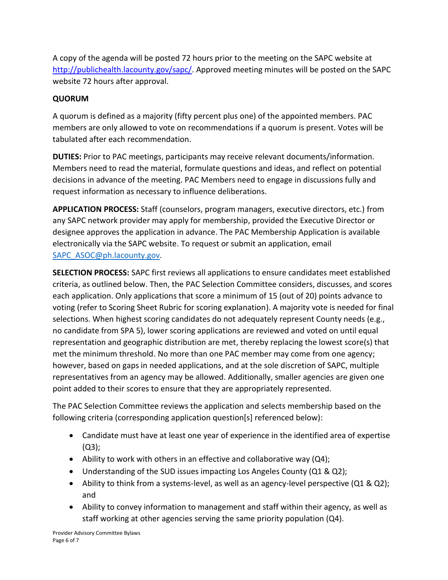A copy of the agenda will be posted 72 hours prior to the meeting on the SAPC website at [http://publichealth.lacounty.gov/sapc/.](http://publichealth.lacounty.gov/sapc/) Approved meeting minutes will be posted on the SAPC website 72 hours after approval.

## **QUORUM**

A quorum is defined as a majority (fifty percent plus one) of the appointed members. PAC members are only allowed to vote on recommendations if a quorum is present. Votes will be tabulated after each recommendation.

**DUTIES:** Prior to PAC meetings, participants may receive relevant documents/information. Members need to read the material, formulate questions and ideas, and reflect on potential decisions in advance of the meeting. PAC Members need to engage in discussions fully and request information as necessary to influence deliberations.

**APPLICATION PROCESS:** Staff (counselors, program managers, executive directors, etc.) from any SAPC network provider may apply for membership, provided the Executive Director or designee approves the application in advance. The PAC Membership Application is available electronically via the SAPC website. To request or submit an application, email [SAPC\\_ASOC@ph.lacounty.gov](mailto:SAPC_ASOC@ph.lacounty.gov).

**SELECTION PROCESS:** SAPC first reviews all applications to ensure candidates meet established criteria, as outlined below. Then, the PAC Selection Committee considers, discusses, and scores each application. Only applications that score a minimum of 15 (out of 20) points advance to voting (refer to Scoring Sheet Rubric for scoring explanation). A majority vote is needed for final selections. When highest scoring candidates do not adequately represent County needs (e.g., no candidate from SPA 5), lower scoring applications are reviewed and voted on until equal representation and geographic distribution are met, thereby replacing the lowest score(s) that met the minimum threshold. No more than one PAC member may come from one agency; however, based on gaps in needed applications, and at the sole discretion of SAPC, multiple representatives from an agency may be allowed. Additionally, smaller agencies are given one point added to their scores to ensure that they are appropriately represented.

The PAC Selection Committee reviews the application and selects membership based on the following criteria (corresponding application question[s] referenced below):

- Candidate must have at least one year of experience in the identified area of expertise (Q3);
- Ability to work with others in an effective and collaborative way  $(Q4)$ ;
- Understanding of the SUD issues impacting Los Angeles County (Q1 & Q2);
- Ability to think from a systems-level, as well as an agency-level perspective (Q1 & Q2); and
- Ability to convey information to management and staff within their agency, as well as staff working at other agencies serving the same priority population (Q4).